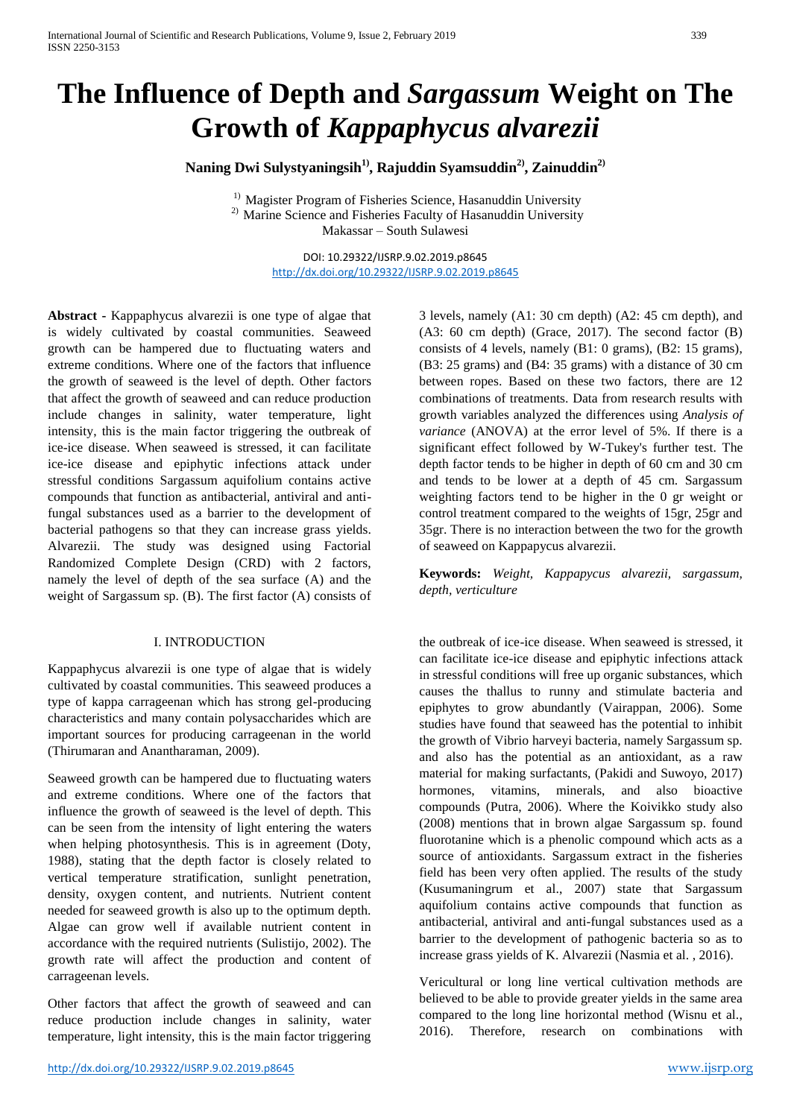# **The Influence of Depth and** *Sargassum* **Weight on The Growth of** *Kappaphycus alvarezii*

**Naning Dwi Sulystyaningsih1) , Rajuddin Syamsuddin2) , Zainuddin2)**

<sup>1)</sup> Magister Program of Fisheries Science, Hasanuddin University <sup>2)</sup> Marine Science and Fisheries Faculty of Hasanuddin University Makassar – South Sulawesi

> DOI: 10.29322/IJSRP.9.02.2019.p8645 <http://dx.doi.org/10.29322/IJSRP.9.02.2019.p8645>

**Abstract -** Kappaphycus alvarezii is one type of algae that is widely cultivated by coastal communities. Seaweed growth can be hampered due to fluctuating waters and extreme conditions. Where one of the factors that influence the growth of seaweed is the level of depth. Other factors that affect the growth of seaweed and can reduce production include changes in salinity, water temperature, light intensity, this is the main factor triggering the outbreak of ice-ice disease. When seaweed is stressed, it can facilitate ice-ice disease and epiphytic infections attack under stressful conditions Sargassum aquifolium contains active compounds that function as antibacterial, antiviral and antifungal substances used as a barrier to the development of bacterial pathogens so that they can increase grass yields. Alvarezii. The study was designed using Factorial Randomized Complete Design (CRD) with 2 factors, namely the level of depth of the sea surface (A) and the weight of Sargassum sp. (B). The first factor (A) consists of

## I. INTRODUCTION

Kappaphycus alvarezii is one type of algae that is widely cultivated by coastal communities. This seaweed produces a type of kappa carrageenan which has strong gel-producing characteristics and many contain polysaccharides which are important sources for producing carrageenan in the world (Thirumaran and Anantharaman, 2009).

Seaweed growth can be hampered due to fluctuating waters and extreme conditions. Where one of the factors that influence the growth of seaweed is the level of depth. This can be seen from the intensity of light entering the waters when helping photosynthesis. This is in agreement (Doty, 1988), stating that the depth factor is closely related to vertical temperature stratification, sunlight penetration, density, oxygen content, and nutrients. Nutrient content needed for seaweed growth is also up to the optimum depth. Algae can grow well if available nutrient content in accordance with the required nutrients (Sulistijo, 2002). The growth rate will affect the production and content of carrageenan levels.

Other factors that affect the growth of seaweed and can reduce production include changes in salinity, water temperature, light intensity, this is the main factor triggering

3 levels, namely (A1: 30 cm depth) (A2: 45 cm depth), and (A3: 60 cm depth) (Grace, 2017). The second factor (B) consists of 4 levels, namely (B1: 0 grams), (B2: 15 grams), (B3: 25 grams) and (B4: 35 grams) with a distance of 30 cm between ropes. Based on these two factors, there are 12 combinations of treatments. Data from research results with growth variables analyzed the differences using *Analysis of variance* (ANOVA) at the error level of 5%. If there is a significant effect followed by W-Tukey's further test. The depth factor tends to be higher in depth of 60 cm and 30 cm and tends to be lower at a depth of 45 cm. Sargassum weighting factors tend to be higher in the 0 gr weight or control treatment compared to the weights of 15gr, 25gr and 35gr. There is no interaction between the two for the growth of seaweed on Kappapycus alvarezii.

**Keywords:** *Weight, Kappapycus alvarezii, sargassum, depth, verticulture*

the outbreak of ice-ice disease. When seaweed is stressed, it can facilitate ice-ice disease and epiphytic infections attack in stressful conditions will free up organic substances, which causes the thallus to runny and stimulate bacteria and epiphytes to grow abundantly (Vairappan, 2006). Some studies have found that seaweed has the potential to inhibit the growth of Vibrio harveyi bacteria, namely Sargassum sp. and also has the potential as an antioxidant, as a raw material for making surfactants, (Pakidi and Suwoyo, 2017) hormones, vitamins, minerals, and also bioactive compounds (Putra, 2006). Where the Koivikko study also (2008) mentions that in brown algae Sargassum sp. found fluorotanine which is a phenolic compound which acts as a source of antioxidants. Sargassum extract in the fisheries field has been very often applied. The results of the study (Kusumaningrum et al., 2007) state that Sargassum aquifolium contains active compounds that function as antibacterial, antiviral and anti-fungal substances used as a barrier to the development of pathogenic bacteria so as to increase grass yields of K. Alvarezii (Nasmia et al. , 2016).

Vericultural or long line vertical cultivation methods are believed to be able to provide greater yields in the same area compared to the long line horizontal method (Wisnu et al., 2016). Therefore, research on combinations with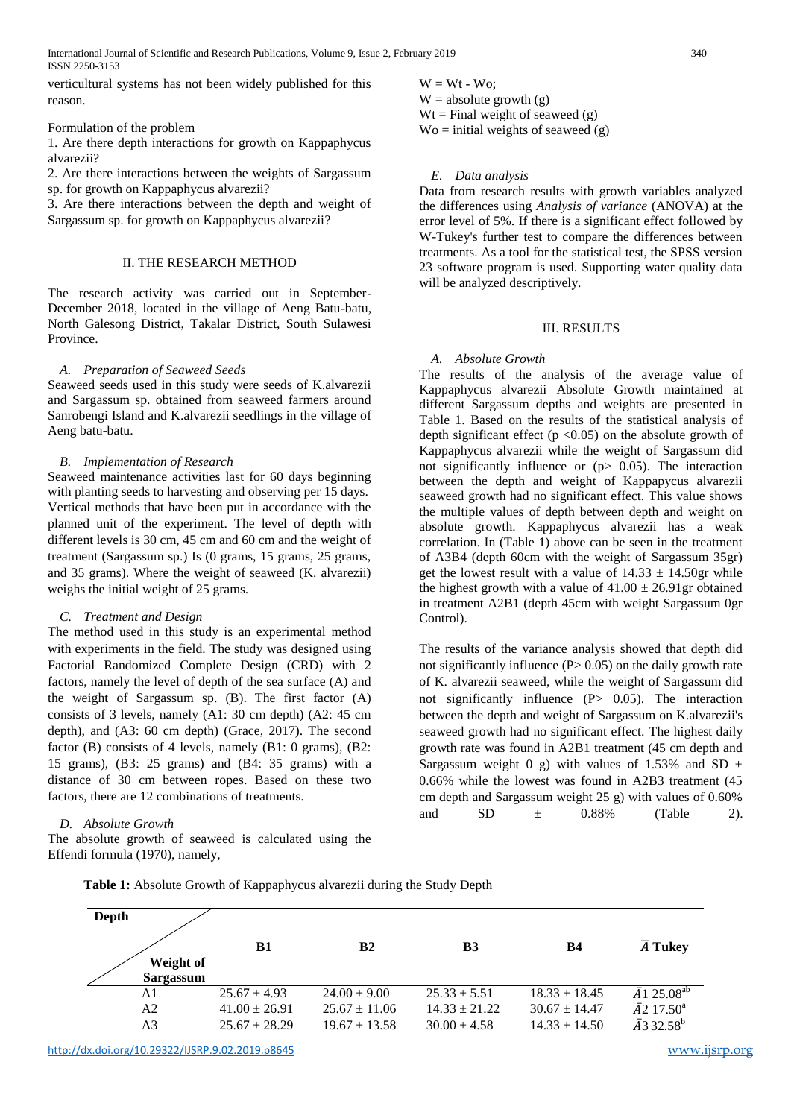verticultural systems has not been widely published for this reason.

### Formulation of the problem

1. Are there depth interactions for growth on Kappaphycus alvarezii?

2. Are there interactions between the weights of Sargassum sp. for growth on Kappaphycus alvarezii?

3. Are there interactions between the depth and weight of Sargassum sp. for growth on Kappaphycus alvarezii?

## II. THE RESEARCH METHOD

The research activity was carried out in September-December 2018, located in the village of Aeng Batu-batu, North Galesong District, Takalar District, South Sulawesi Province.

### *A. Preparation of Seaweed Seeds*

Seaweed seeds used in this study were seeds of K.alvarezii and Sargassum sp. obtained from seaweed farmers around Sanrobengi Island and K.alvarezii seedlings in the village of Aeng batu-batu.

## *B. Implementation of Research*

Seaweed maintenance activities last for 60 days beginning with planting seeds to harvesting and observing per 15 days. Vertical methods that have been put in accordance with the planned unit of the experiment. The level of depth with different levels is 30 cm, 45 cm and 60 cm and the weight of treatment (Sargassum sp.) Is (0 grams, 15 grams, 25 grams, and 35 grams). Where the weight of seaweed (K. alvarezii) weighs the initial weight of 25 grams.

### *C. Treatment and Design*

The method used in this study is an experimental method with experiments in the field. The study was designed using Factorial Randomized Complete Design (CRD) with 2 factors, namely the level of depth of the sea surface (A) and the weight of Sargassum sp. (B). The first factor (A) consists of 3 levels, namely (A1: 30 cm depth) (A2: 45 cm depth), and (A3: 60 cm depth) (Grace, 2017). The second factor (B) consists of 4 levels, namely (B1: 0 grams), (B2: 15 grams), (B3: 25 grams) and (B4: 35 grams) with a distance of 30 cm between ropes. Based on these two factors, there are 12 combinations of treatments.

## *D. Absolute Growth*

The absolute growth of seaweed is calculated using the Effendi formula (1970), namely,

 $W = Wt - Wo;$  $W =$  absolute growth  $(g)$  $Wt = Final weight of seaweed(g)$  $\text{Wo} = \text{initial weights of seawed (g)}$ 

### *E. Data analysis*

Data from research results with growth variables analyzed the differences using *Analysis of variance* (ANOVA) at the error level of 5%. If there is a significant effect followed by W-Tukey's further test to compare the differences between treatments. As a tool for the statistical test, the SPSS version 23 software program is used. Supporting water quality data will be analyzed descriptively.

## III. RESULTS

### *A. Absolute Growth*

The results of the analysis of the average value of Kappaphycus alvarezii Absolute Growth maintained at different Sargassum depths and weights are presented in Table 1. Based on the results of the statistical analysis of depth significant effect ( $p \le 0.05$ ) on the absolute growth of Kappaphycus alvarezii while the weight of Sargassum did not significantly influence or  $(p > 0.05)$ . The interaction between the depth and weight of Kappapycus alvarezii seaweed growth had no significant effect. This value shows the multiple values of depth between depth and weight on absolute growth. Kappaphycus alvarezii has a weak correlation. In (Table 1) above can be seen in the treatment of A3B4 (depth 60cm with the weight of Sargassum 35gr) get the lowest result with a value of  $14.33 \pm 14.50$ gr while the highest growth with a value of  $41.00 \pm 26.91$  gr obtained in treatment A2B1 (depth 45cm with weight Sargassum 0gr Control).

The results of the variance analysis showed that depth did not significantly influence  $(P> 0.05)$  on the daily growth rate of K. alvarezii seaweed, while the weight of Sargassum did not significantly influence (P> 0.05). The interaction between the depth and weight of Sargassum on K.alvarezii's seaweed growth had no significant effect. The highest daily growth rate was found in A2B1 treatment (45 cm depth and Sargassum weight 0 g) with values of 1.53% and SD  $\pm$ 0.66% while the lowest was found in A2B3 treatment (45 cm depth and Sargassum weight 25 g) with values of 0.60% and SD  $\pm$  0.88% (Table 2).

**Table 1:** Absolute Growth of Kappaphycus alvarezii during the Study Depth

| Depth          |                   |                   |                   |                   |                                 |
|----------------|-------------------|-------------------|-------------------|-------------------|---------------------------------|
|                | <b>B1</b>         | <b>B2</b>         | B3                | <b>B4</b>         | $\overline{A}$ Tukey            |
| Weight of      |                   |                   |                   |                   |                                 |
| Sargassum      |                   |                   |                   |                   |                                 |
| A1             | $25.67 \pm 4.93$  | $24.00 \pm 9.00$  | $25.33 \pm 5.51$  | $18.33 \pm 18.45$ | $\bar{A}$ 1 25.08 <sup>ab</sup> |
| A2             | $41.00 \pm 26.91$ | $25.67 \pm 11.06$ | $14.33 \pm 21.22$ | $30.67 \pm 14.47$ | $\bar{A}2$ 17.50 <sup>a</sup>   |
| A <sub>3</sub> | $25.67 \pm 28.29$ | $19.67 \pm 13.58$ | $30.00 \pm 4.58$  | $14.33 \pm 14.50$ | $\bar{A}$ 3 32.58 <sup>b</sup>  |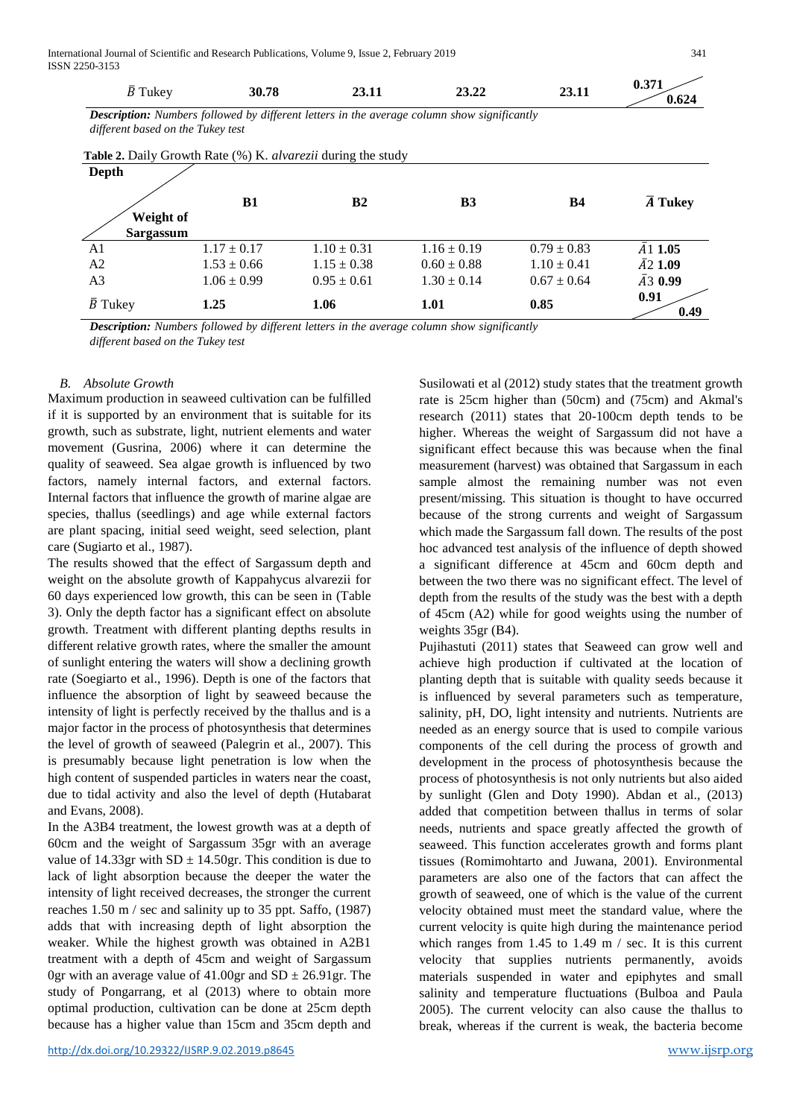| $\bar{B}$ Tukey                                              | 30.78           | 23.11                                                                                              | 23.22           | 23.11           | 0.371<br>0.624       |  |  |  |  |
|--------------------------------------------------------------|-----------------|----------------------------------------------------------------------------------------------------|-----------------|-----------------|----------------------|--|--|--|--|
| different based on the Tukey test                            |                 | <b>Description:</b> Numbers followed by different letters in the average column show significantly |                 |                 |                      |  |  |  |  |
| Table 2. Daily Growth Rate (%) K. alvarezii during the study |                 |                                                                                                    |                 |                 |                      |  |  |  |  |
| Depth                                                        |                 |                                                                                                    |                 |                 |                      |  |  |  |  |
|                                                              | B1              | B <sub>2</sub>                                                                                     | B <sub>3</sub>  | <b>B4</b>       | $\overline{A}$ Tukey |  |  |  |  |
| Weight of<br>Sargassum                                       |                 |                                                                                                    |                 |                 |                      |  |  |  |  |
| A1                                                           | $1.17 \pm 0.17$ | $1.10 \pm 0.31$                                                                                    | $1.16 \pm 0.19$ | $0.79 \pm 0.83$ | $\bar{A}$ 1.05       |  |  |  |  |
| A <sub>2</sub>                                               | $1.53 \pm 0.66$ | $1.15 \pm 0.38$                                                                                    | $0.60 \pm 0.88$ | $1.10 \pm 0.41$ | $\bar{A}$ 2.1.09     |  |  |  |  |
| A <sub>3</sub>                                               | $1.06 \pm 0.99$ | $0.95 \pm 0.61$                                                                                    | $1.30 \pm 0.14$ | $0.67 \pm 0.64$ | $\bar{A}30.99$       |  |  |  |  |
| $\bar{B}$ Tukey                                              | 1.25            | 1.06                                                                                               | 1.01            | 0.85            | 0.91<br>0.49         |  |  |  |  |

*Description: Numbers followed by different letters in the average column show significantly* 

*different based on the Tukey test*

## *B. Absolute Growth*

Maximum production in seaweed cultivation can be fulfilled if it is supported by an environment that is suitable for its growth, such as substrate, light, nutrient elements and water movement (Gusrina, 2006) where it can determine the quality of seaweed. Sea algae growth is influenced by two factors, namely internal factors, and external factors. Internal factors that influence the growth of marine algae are species, thallus (seedlings) and age while external factors are plant spacing, initial seed weight, seed selection, plant care (Sugiarto et al., 1987).

The results showed that the effect of Sargassum depth and weight on the absolute growth of Kappahycus alvarezii for 60 days experienced low growth, this can be seen in (Table 3). Only the depth factor has a significant effect on absolute growth. Treatment with different planting depths results in different relative growth rates, where the smaller the amount of sunlight entering the waters will show a declining growth rate (Soegiarto et al., 1996). Depth is one of the factors that influence the absorption of light by seaweed because the intensity of light is perfectly received by the thallus and is a major factor in the process of photosynthesis that determines the level of growth of seaweed (Palegrin et al., 2007). This is presumably because light penetration is low when the high content of suspended particles in waters near the coast, due to tidal activity and also the level of depth (Hutabarat and Evans, 2008).

In the A3B4 treatment, the lowest growth was at a depth of 60cm and the weight of Sargassum 35gr with an average value of 14.33gr with  $SD \pm 14.50$ gr. This condition is due to lack of light absorption because the deeper the water the intensity of light received decreases, the stronger the current reaches 1.50 m / sec and salinity up to 35 ppt. Saffo, (1987) adds that with increasing depth of light absorption the weaker. While the highest growth was obtained in A2B1 treatment with a depth of 45cm and weight of Sargassum 0gr with an average value of  $41.00$ gr and SD  $\pm$  26.91gr. The study of Pongarrang, et al (2013) where to obtain more optimal production, cultivation can be done at 25cm depth because has a higher value than 15cm and 35cm depth and

Susilowati et al (2012) study states that the treatment growth rate is 25cm higher than (50cm) and (75cm) and Akmal's research (2011) states that 20-100cm depth tends to be higher. Whereas the weight of Sargassum did not have a significant effect because this was because when the final measurement (harvest) was obtained that Sargassum in each sample almost the remaining number was not even present/missing. This situation is thought to have occurred because of the strong currents and weight of Sargassum which made the Sargassum fall down. The results of the post hoc advanced test analysis of the influence of depth showed a significant difference at 45cm and 60cm depth and between the two there was no significant effect. The level of depth from the results of the study was the best with a depth of 45cm (A2) while for good weights using the number of weights 35gr (B4).

Pujihastuti (2011) states that Seaweed can grow well and achieve high production if cultivated at the location of planting depth that is suitable with quality seeds because it is influenced by several parameters such as temperature, salinity, pH, DO, light intensity and nutrients. Nutrients are needed as an energy source that is used to compile various components of the cell during the process of growth and development in the process of photosynthesis because the process of photosynthesis is not only nutrients but also aided by sunlight (Glen and Doty 1990). Abdan et al., (2013) added that competition between thallus in terms of solar needs, nutrients and space greatly affected the growth of seaweed. This function accelerates growth and forms plant tissues (Romimohtarto and Juwana, 2001). Environmental parameters are also one of the factors that can affect the growth of seaweed, one of which is the value of the current velocity obtained must meet the standard value, where the current velocity is quite high during the maintenance period which ranges from 1.45 to 1.49 m / sec. It is this current velocity that supplies nutrients permanently, avoids materials suspended in water and epiphytes and small salinity and temperature fluctuations (Bulboa and Paula 2005). The current velocity can also cause the thallus to break, whereas if the current is weak, the bacteria become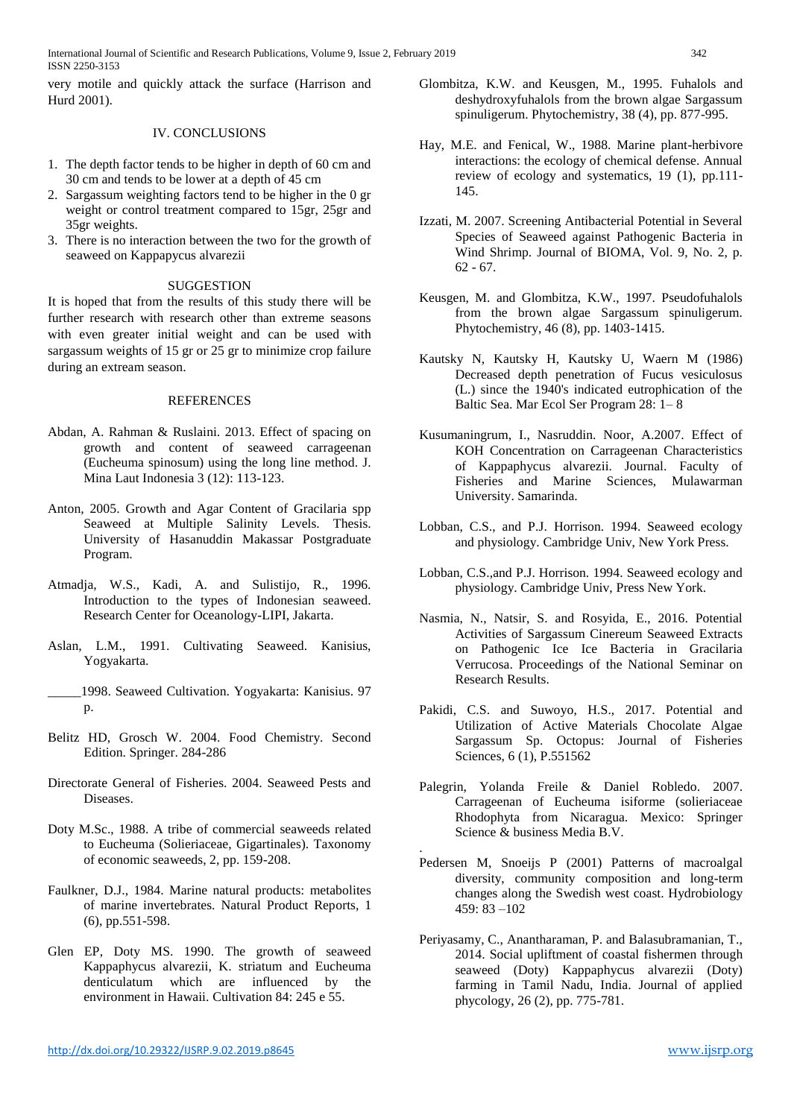very motile and quickly attack the surface (Harrison and Hurd 2001).

## IV. CONCLUSIONS

- 1. The depth factor tends to be higher in depth of 60 cm and 30 cm and tends to be lower at a depth of 45 cm
- 2. Sargassum weighting factors tend to be higher in the 0 gr weight or control treatment compared to 15gr, 25gr and 35gr weights.
- 3. There is no interaction between the two for the growth of seaweed on Kappapycus alvarezii

## **SUGGESTION**

It is hoped that from the results of this study there will be further research with research other than extreme seasons with even greater initial weight and can be used with sargassum weights of 15 gr or 25 gr to minimize crop failure during an extream season.

## REFERENCES

- Abdan, A. Rahman & Ruslaini. 2013. Effect of spacing on growth and content of seaweed carrageenan (Eucheuma spinosum) using the long line method. J. Mina Laut Indonesia 3 (12): 113-123.
- Anton, 2005. Growth and Agar Content of Gracilaria spp Seaweed at Multiple Salinity Levels. Thesis. University of Hasanuddin Makassar Postgraduate Program.
- Atmadja, W.S., Kadi, A. and Sulistijo, R., 1996. Introduction to the types of Indonesian seaweed. Research Center for Oceanology-LIPI, Jakarta.
- Aslan, L.M., 1991. Cultivating Seaweed. Kanisius, Yogyakarta.
- \_\_\_\_\_1998. Seaweed Cultivation. Yogyakarta: Kanisius. 97 p.
- Belitz HD, Grosch W. 2004. Food Chemistry. Second Edition. Springer. 284-286
- Directorate General of Fisheries. 2004. Seaweed Pests and Diseases.
- Doty M.Sc., 1988. A tribe of commercial seaweeds related to Eucheuma (Solieriaceae, Gigartinales). Taxonomy of economic seaweeds, 2, pp. 159-208.
- Faulkner, D.J., 1984. Marine natural products: metabolites of marine invertebrates. Natural Product Reports, 1 (6), pp.551-598.
- Glen EP, Doty MS. 1990. The growth of seaweed Kappaphycus alvarezii, K. striatum and Eucheuma denticulatum which are influenced by the environment in Hawaii. Cultivation 84: 245 e 55.
- Glombitza, K.W. and Keusgen, M., 1995. Fuhalols and deshydroxyfuhalols from the brown algae Sargassum spinuligerum. Phytochemistry, 38 (4), pp. 877-995.
- Hay, M.E. and Fenical, W., 1988. Marine plant-herbivore interactions: the ecology of chemical defense. Annual review of ecology and systematics, 19 (1), pp.111- 145.
- Izzati, M. 2007. Screening Antibacterial Potential in Several Species of Seaweed against Pathogenic Bacteria in Wind Shrimp. Journal of BIOMA, Vol. 9, No. 2, p. 62 - 67.
- Keusgen, M. and Glombitza, K.W., 1997. Pseudofuhalols from the brown algae Sargassum spinuligerum. Phytochemistry, 46 (8), pp. 1403-1415.
- Kautsky N, Kautsky H, Kautsky U, Waern M (1986) Decreased depth penetration of Fucus vesiculosus (L.) since the 1940's indicated eutrophication of the Baltic Sea. Mar Ecol Ser Program 28: 1– 8
- Kusumaningrum, I., Nasruddin. Noor, A.2007. Effect of KOH Concentration on Carrageenan Characteristics of Kappaphycus alvarezii. Journal. Faculty of Fisheries and Marine Sciences, Mulawarman University. Samarinda.
- Lobban, C.S., and P.J. Horrison. 1994. Seaweed ecology and physiology. Cambridge Univ, New York Press.
- Lobban, C.S.,and P.J. Horrison. 1994. Seaweed ecology and physiology. Cambridge Univ, Press New York.
- Nasmia, N., Natsir, S. and Rosyida, E., 2016. Potential Activities of Sargassum Cinereum Seaweed Extracts on Pathogenic Ice Ice Bacteria in Gracilaria Verrucosa. Proceedings of the National Seminar on Research Results.
- Pakidi, C.S. and Suwoyo, H.S., 2017. Potential and Utilization of Active Materials Chocolate Algae Sargassum Sp. Octopus: Journal of Fisheries Sciences, 6 (1), P.551562
- Palegrin, Yolanda Freile & Daniel Robledo. 2007. Carrageenan of Eucheuma isiforme (solieriaceae Rhodophyta from Nicaragua. Mexico: Springer Science & business Media B.V.
- . Pedersen M, Snoeijs P (2001) Patterns of macroalgal diversity, community composition and long-term changes along the Swedish west coast. Hydrobiology 459: 83 –102
- Periyasamy, C., Anantharaman, P. and Balasubramanian, T., 2014. Social upliftment of coastal fishermen through seaweed (Doty) Kappaphycus alvarezii (Doty) farming in Tamil Nadu, India. Journal of applied phycology, 26 (2), pp. 775-781.